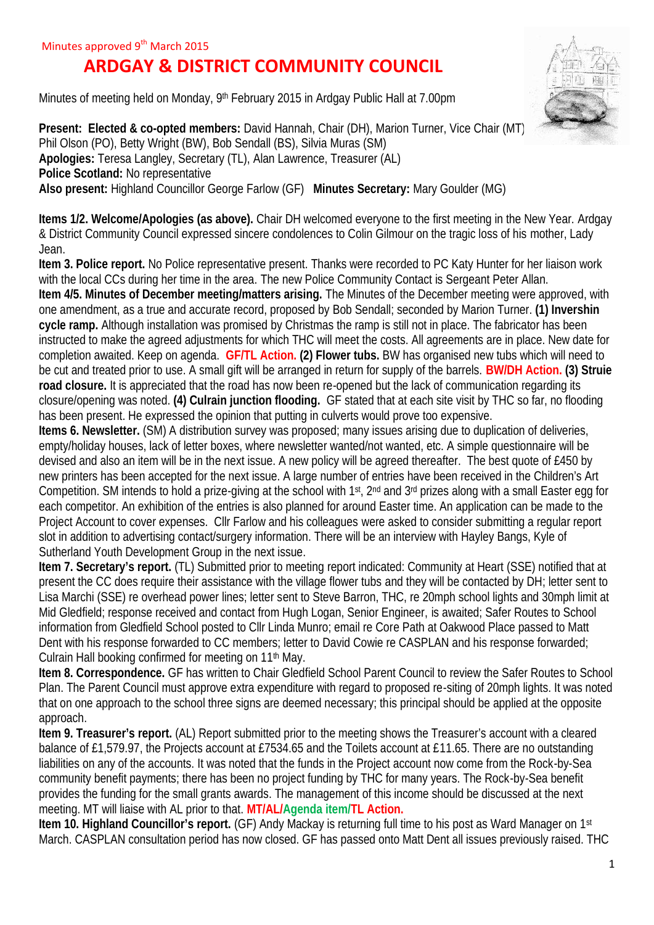## **ARDGAY & DISTRICT COMMUNITY COUNCIL**

Minutes of meeting held on Monday, 9<sup>th</sup> February 2015 in Ardgay Public Hall at 7.00pm

**Present: Elected & co-opted members: David Hannah, Chair (DH), Marion Turner, Vice Chair (MT)** Phil Olson (PO), Betty Wright (BW), Bob Sendall (BS), Silvia Muras (SM) **Apologies:** Teresa Langley, Secretary (TL), Alan Lawrence, Treasurer (AL) **Police Scotland:** No representative **Also present:** Highland Councillor George Farlow (GF) **Minutes Secretary:** Mary Goulder (MG)

**Items 1/2. Welcome/Apologies (as above).** Chair DH welcomed everyone to the first meeting in the New Year. Ardgay & District Community Council expressed sincere condolences to Colin Gilmour on the tragic loss of his mother, Lady Jean.

**Item 3. Police report.** No Police representative present. Thanks were recorded to PC Katy Hunter for her liaison work with the local CCs during her time in the area. The new Police Community Contact is Sergeant Peter Allan. **Item 4/5. Minutes of December meeting/matters arising.** The Minutes of the December meeting were approved, with one amendment, as a true and accurate record, proposed by Bob Sendall; seconded by Marion Turner. **(1) Invershin cycle ramp.** Although installation was promised by Christmas the ramp is still not in place. The fabricator has been instructed to make the agreed adjustments for which THC will meet the costs. All agreements are in place. New date for completion awaited. Keep on agenda. **GF/TL Action. (2) Flower tubs.** BW has organised new tubs which will need to be cut and treated prior to use. A small gift will be arranged in return for supply of the barrels. **BW/DH Action. (3) Struie road closure.** It is appreciated that the road has now been re-opened but the lack of communication regarding its closure/opening was noted. **(4) Culrain junction flooding.** GF stated that at each site visit by THC so far, no flooding has been present. He expressed the opinion that putting in culverts would prove too expensive.

**Items 6. Newsletter.** (SM) A distribution survey was proposed; many issues arising due to duplication of deliveries, empty/holiday houses, lack of letter boxes, where newsletter wanted/not wanted, etc. A simple questionnaire will be devised and also an item will be in the next issue. A new policy will be agreed thereafter. The best quote of £450 by new printers has been accepted for the next issue. A large number of entries have been received in the Children's Art Competition. SM intends to hold a prize-giving at the school with 1st, 2<sup>nd</sup> and 3<sup>rd</sup> prizes along with a small Easter egg for each competitor. An exhibition of the entries is also planned for around Easter time. An application can be made to the Project Account to cover expenses. Cllr Farlow and his colleagues were asked to consider submitting a regular report slot in addition to advertising contact/surgery information. There will be an interview with Hayley Bangs, Kyle of Sutherland Youth Development Group in the next issue.

**Item 7. Secretary's report.** (TL) Submitted prior to meeting report indicated: Community at Heart (SSE) notified that at present the CC does require their assistance with the village flower tubs and they will be contacted by DH; letter sent to Lisa Marchi (SSE) re overhead power lines; letter sent to Steve Barron, THC, re 20mph school lights and 30mph limit at Mid Gledfield; response received and contact from Hugh Logan, Senior Engineer, is awaited; Safer Routes to School information from Gledfield School posted to Cllr Linda Munro; email re Core Path at Oakwood Place passed to Matt Dent with his response forwarded to CC members; letter to David Cowie re CASPLAN and his response forwarded; Culrain Hall booking confirmed for meeting on 11<sup>th</sup> May.

**Item 8. Correspondence.** GF has written to Chair Gledfield School Parent Council to review the Safer Routes to School Plan. The Parent Council must approve extra expenditure with regard to proposed re-siting of 20mph lights. It was noted that on one approach to the school three signs are deemed necessary; this principal should be applied at the opposite approach.

**Item 9. Treasurer's report.** (AL) Report submitted prior to the meeting shows the Treasurer's account with a cleared balance of £1,579.97, the Projects account at £7534.65 and the Toilets account at £11.65. There are no outstanding liabilities on any of the accounts. It was noted that the funds in the Project account now come from the Rock-by-Sea community benefit payments; there has been no project funding by THC for many years. The Rock-by-Sea benefit provides the funding for the small grants awards. The management of this income should be discussed at the next meeting. MT will liaise with AL prior to that. **MT/AL/Agenda item/TL Action.**

**Item 10. Highland Councillor's report.** (GF) Andy Mackay is returning full time to his post as Ward Manager on 1<sup>st</sup> March. CASPLAN consultation period has now closed. GF has passed onto Matt Dent all issues previously raised. THC